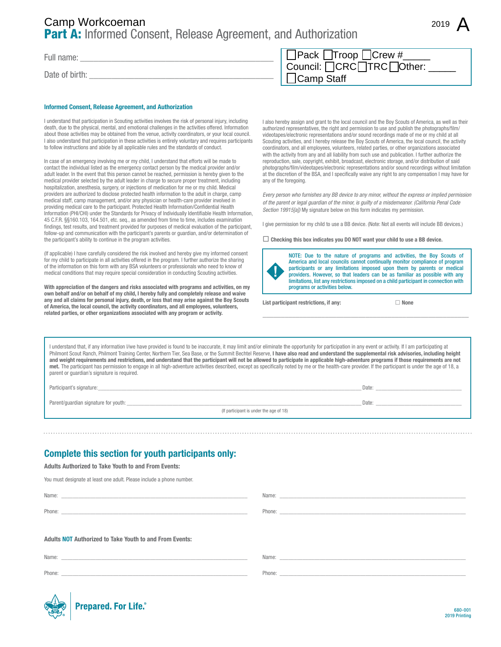# Part A: Informed Consent, Release Agreement, and Authorization Camp Staff Camp Workcoeman <sup>2019</sup>

Full name:

Date of birth:

#### Informed Consent, Release Agreement, and Authorization

I understand that participation in Scouting activities involves the risk of personal injury, including death, due to the physical, mental, and emotional challenges in the activities offered. Information about those activities may be obtained from the venue, activity coordinators, or your local council. I also understand that participation in these activities is entirely voluntary and requires participants to follow instructions and abide by all applicable rules and the standards of conduct.

In case of an emergency involving me or my child, I understand that efforts will be made to contact the individual listed as the emergency contact person by the medical provider and/or adult leader. In the event that this person cannot be reached, permission is hereby given to the medical provider selected by the adult leader in charge to secure proper treatment, including hospitalization, anesthesia, surgery, or injections of medication for me or my child. Medical providers are authorized to disclose protected health information to the adult in charge, camp medical staff, camp management, and/or any physician or health-care provider involved in providing medical care to the participant. Protected Health Information/Confidential Health Information (PHI/CHI) under the Standards for Privacy of Individually Identifiable Health Information, 45 C.F.R. §§160.103, 164.501, etc. seq., as amended from time to time, includes examination findings, test results, and treatment provided for purposes of medical evaluation of the participant, follow-up and communication with the participant's parents or guardian, and/or determination of the participant's ability to continue in the program activities.

(If applicable) I have carefully considered the risk involved and hereby give my informed consent for my child to participate in all activities offered in the program. I further authorize the sharing of the information on this form with any BSA volunteers or professionals who need to know of medical conditions that may require special consideration in conducting Scouting activities.

With appreciation of the dangers and risks associated with programs and activities, on my own behalf and/or on behalf of my child, I hereby fully and completely release and waive any and all claims for personal injury, death, or loss that may arise against the Boy Scouts of America, the local council, the activity coordinators, and all employees, volunteers, related parties, or other organizations associated with any program or activity.

| $\Box$ Pack $\Box$ Troop $\Box$ Crew # |
|----------------------------------------|
| Council: <b>OCRC</b> TRC Other:        |
| $\Box$ Camp Staff                      |

I also hereby assign and grant to the local council and the Boy Scouts of America, as well as their authorized representatives, the right and permission to use and publish the photographs/film/ videotapes/electronic representations and/or sound recordings made of me or my child at all Scouting activities, and I hereby release the Boy Scouts of America, the local council, the activity coordinators, and all employees, volunteers, related parties, or other organizations associated with the activity from any and all liability from such use and publication. I further authorize the reproduction, sale, copyright, exhibit, broadcast, electronic storage, and/or distribution of said photographs/film/videotapes/electronic representations and/or sound recordings without limitation at the discretion of the BSA, and I specifically waive any right to any compensation I may have for any of the foregoing.

*Every person who furnishes any BB device to any minor, without the express or implied permission of the parent or legal guardian of the minor, is guilty of a misdemeanor. (California Penal Code Section 19915[a])* My signature below on this form indicates my permission.

I give permission for my child to use a BB device. (Note: Not all events will include BB devices.)

 $\Box$  Checking this box indicates you DO NOT want your child to use a BB device.



NOTE: Due to the nature of programs and activities, the Boy Scouts of America and local councils cannot continually monitor compliance of program participants or any limitations imposed upon them by parents or medical providers. However, so that leaders can be as familiar as possible with any limitations, list any restrictions imposed on a child participant in connection with programs or activities below.

\_\_\_\_\_\_\_\_\_\_\_\_\_\_\_\_\_\_\_\_\_\_\_\_\_\_\_\_\_\_\_\_\_\_\_\_\_\_\_\_\_\_\_\_\_\_\_\_\_\_\_\_\_\_\_\_

List participant restrictions, if any:  $\Box$  None

I understand that, if any information I/we have provided is found to be inaccurate, it may limit and/or eliminate the opportunity for participation in any event or activity. If I am participating at Philmont Scout Ranch, Philmont Training Center, Northern Tier, Sea Base, or the Summit Bechtel Reserve, I have also read and understand the supplemental risk advisories, including height and weight requirements and restrictions, and understand that the participant will not be allowed to participate in applicable high-adventure programs if those requirements are not met. The participant has permission to engage in all high-adventure activities described, except as specifically noted by me or the health-care provider. If the participant is under the age of 18, a parent or guardian's signature is required.

Participant's signature:\_\_\_\_\_\_\_\_\_\_\_\_\_\_\_\_\_\_\_\_\_\_\_\_\_\_\_\_\_\_\_\_\_\_\_\_\_\_\_\_\_\_\_\_\_\_\_\_\_\_\_\_\_\_\_\_\_\_\_\_\_\_\_\_\_\_\_\_\_\_\_\_\_\_\_\_\_\_\_\_\_\_\_\_\_\_\_\_\_\_\_\_ Date: \_\_\_\_\_\_\_\_\_\_\_\_\_\_\_\_\_\_\_\_\_\_\_\_\_\_\_\_\_\_

Parent/guardian signature for youth: \_\_\_\_\_\_\_\_\_\_\_\_\_\_\_\_\_\_\_\_\_\_\_\_\_\_\_\_\_\_\_\_\_\_\_\_\_\_\_\_\_\_\_\_\_\_\_\_\_\_\_\_\_\_\_\_\_\_\_\_\_\_\_\_\_\_\_\_\_\_\_\_\_\_\_\_\_\_\_\_\_\_ Date: \_\_\_\_\_\_\_\_\_\_\_\_\_\_\_\_\_\_\_\_\_\_\_\_\_\_\_\_\_\_

(If participant is under the age of 18)

## Complete this section for youth participants only:

Adults Authorized to Take Youth to and From Events:

You must designate at least one adult. Please include a phone number.

Adults NOT Authorized to Take Youth to and From Events: Name: \_\_\_\_\_\_\_\_\_\_\_\_\_\_\_\_\_\_\_\_\_\_\_\_\_\_\_\_\_\_\_\_\_\_\_\_\_\_\_\_\_\_\_\_\_\_\_\_\_\_\_\_\_\_\_\_\_\_\_\_\_\_\_\_\_ Phone: \_\_\_\_\_\_\_\_\_\_\_\_\_\_\_\_\_\_\_\_\_\_\_\_\_\_\_\_\_\_\_\_\_\_\_\_\_\_\_\_\_\_\_\_\_\_\_\_\_\_\_\_\_\_\_\_\_\_\_\_\_\_\_\_\_ Name: Phone: \_\_\_\_\_\_\_\_\_\_\_\_\_\_\_\_\_\_\_\_\_\_\_\_\_\_\_\_\_\_\_\_\_\_\_\_\_\_\_\_\_\_\_\_\_\_\_\_\_\_\_\_\_\_\_\_\_\_\_\_\_\_\_\_\_ Name: \_\_ Name: \_\_\_\_\_\_\_\_\_\_\_\_\_\_\_\_\_\_\_\_\_\_\_\_\_\_\_\_\_\_\_\_\_\_\_\_\_\_\_\_\_\_\_\_\_\_\_\_\_\_\_\_\_\_\_\_\_\_\_\_\_\_\_\_\_

Phone:

Phone: \_\_\_\_\_\_\_\_\_\_\_\_\_\_\_\_\_\_\_\_\_\_\_\_\_\_\_\_\_\_\_\_\_\_\_\_\_\_\_\_\_\_\_\_\_\_\_\_\_\_\_\_\_\_\_\_\_\_\_\_\_\_\_\_\_

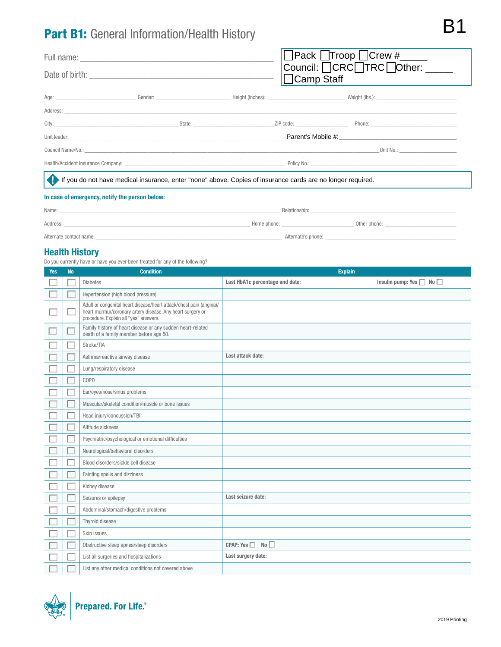# Part B1: General Information/Health History

|                                                                                                             |  |  | Pack Troop Crew #____<br>Council: □CRC□TRC□Other: ____ |  |                     |
|-------------------------------------------------------------------------------------------------------------|--|--|--------------------------------------------------------|--|---------------------|
|                                                                                                             |  |  | Camp Staff                                             |  |                     |
|                                                                                                             |  |  |                                                        |  |                     |
|                                                                                                             |  |  |                                                        |  |                     |
|                                                                                                             |  |  |                                                        |  |                     |
|                                                                                                             |  |  |                                                        |  |                     |
|                                                                                                             |  |  |                                                        |  | Unit No.: Unit No.: |
|                                                                                                             |  |  |                                                        |  |                     |
| If you do not have medical insurance, enter "none" above. Copies of insurance cards are no longer required. |  |  |                                                        |  |                     |
| In case of emergency, notify the person below:                                                              |  |  |                                                        |  |                     |

| Name:                   |             | Relationship:      |              |
|-------------------------|-------------|--------------------|--------------|
| Address:                | Home phone: |                    | Other phone: |
| Alternate contact name: |             | Alternate's phone: |              |

### Health History

Do you currently have or have you ever been treated for any of the following?

| <b>Yes</b> | <b>No</b> | <b>Condition</b>                                                                                                                                                           |                                 | <b>Explain</b>                     |
|------------|-----------|----------------------------------------------------------------------------------------------------------------------------------------------------------------------------|---------------------------------|------------------------------------|
|            |           | <b>Diabetes</b>                                                                                                                                                            | Last HbA1c percentage and date: | Insulin pump: Yes $\Box$ No $\Box$ |
|            |           | Hypertension (high blood pressure)                                                                                                                                         |                                 |                                    |
|            |           | Adult or congenital heart disease/heart attack/chest pain (angina)/<br>heart murmur/coronary artery disease. Any heart surgery or<br>procedure. Explain all "yes" answers. |                                 |                                    |
|            |           | Family history of heart disease or any sudden heart-related<br>death of a family member before age 50.                                                                     |                                 |                                    |
|            |           | Stroke/TIA                                                                                                                                                                 |                                 |                                    |
|            |           | Asthma/reactive airway disease                                                                                                                                             | Last attack date:               |                                    |
|            |           | Lung/respiratory disease                                                                                                                                                   |                                 |                                    |
|            |           | COPD                                                                                                                                                                       |                                 |                                    |
|            |           | Ear/eyes/nose/sinus problems                                                                                                                                               |                                 |                                    |
|            |           | Muscular/skeletal condition/muscle or bone issues                                                                                                                          |                                 |                                    |
|            |           | Head injury/concussion/TBI                                                                                                                                                 |                                 |                                    |
|            |           | Altitude sickness                                                                                                                                                          |                                 |                                    |
|            |           | Psychiatric/psychological or emotional difficulties                                                                                                                        |                                 |                                    |
|            |           | Neurological/behavioral disorders                                                                                                                                          |                                 |                                    |
|            |           | Blood disorders/sickle cell disease                                                                                                                                        |                                 |                                    |
|            |           | Fainting spells and dizziness                                                                                                                                              |                                 |                                    |
|            |           | Kidney disease                                                                                                                                                             |                                 |                                    |
|            |           | Seizures or epilepsy                                                                                                                                                       | Last seizure date:              |                                    |
|            |           | Abdominal/stomach/digestive problems                                                                                                                                       |                                 |                                    |
|            |           | Thyroid disease                                                                                                                                                            |                                 |                                    |
|            |           | Skin issues                                                                                                                                                                |                                 |                                    |
|            |           | Obstructive sleep apnea/sleep disorders                                                                                                                                    | CPAP: Yes<br>No <sub>1</sub>    |                                    |
|            |           | List all surgeries and hospitalizations                                                                                                                                    | Last surgery date:              |                                    |
|            |           | List any other medical conditions not covered above                                                                                                                        |                                 |                                    |

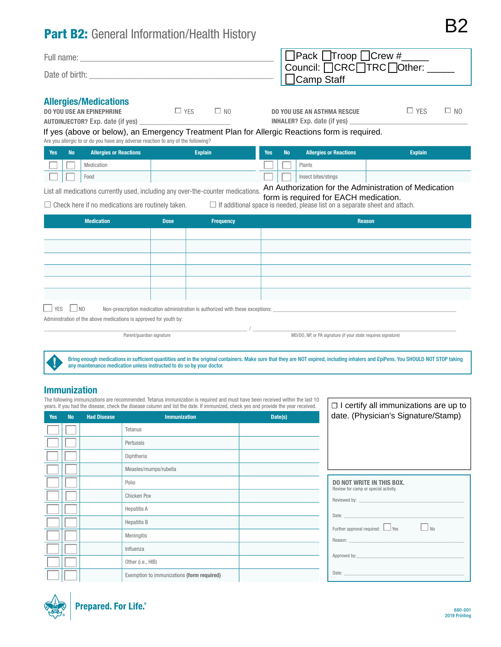# Part B2: General Information/Health History

| Full name:     | $\Box$ Pack $\Box$ Troop $\Box$ Crew #         |
|----------------|------------------------------------------------|
| Date of birth: | Council: OCRCOTRCOther: _<br>$\Box$ Camp Staff |
|                |                                                |

#### Allergies/Medications

| <b>DO YOU USE AN EPINEPHRINE</b>        | $\Box$ YFS | $\square$ NO |
|-----------------------------------------|------------|--------------|
| <b>AUTOINJECTOR?</b> Exp. date (if yes) |            |              |

DO YOU USE AN ASTHMA RESCUE  $\Box$  YES  $\Box$  NO INHALER? Exp. date (if yes)

B2

If yes (above or below), an Emergency Treatment Plan for Allergic Reactions form is required.

Are you allergic to or do you have any adverse reaction to any of the following?

| Yes <sup>1</sup> | <b>No</b> | <b>Allergies or Reactions</b> | <b>Explain</b> | <b>Yes</b> | <b>No</b> | <b>Allergies or Reactions</b> | <b>Explain</b>                                                     |
|------------------|-----------|-------------------------------|----------------|------------|-----------|-------------------------------|--------------------------------------------------------------------|
|                  |           | Medication                    |                |            |           | Plants                        |                                                                    |
|                  |           | Food                          |                |            |           | Insect bites/stings           |                                                                    |
|                  |           |                               |                |            |           |                               | Are Article in the continuation of the continuation of Manifestian |

List all medications currently used, including any over-the-counter medications. An Authorization for the Administration of Medication

form is required for EACH medication.

 $\Box$  Check here if no medications are routinely taken.  $\Box$  If additional space is needed, please list on a separate sheet and attach.

| <b>Medication</b>                                                                                       | <b>Dose</b> | Frequency | Reason |  |  |  |
|---------------------------------------------------------------------------------------------------------|-------------|-----------|--------|--|--|--|
|                                                                                                         |             |           |        |  |  |  |
|                                                                                                         |             |           |        |  |  |  |
|                                                                                                         |             |           |        |  |  |  |
|                                                                                                         |             |           |        |  |  |  |
|                                                                                                         |             |           |        |  |  |  |
|                                                                                                         |             |           |        |  |  |  |
| $\Box$ YES $\Box$ NO<br>Non-prescription medication administration is authorized with these exceptions: |             |           |        |  |  |  |
| Administration of the above medications is announed for youth by                                        |             |           |        |  |  |  |

Administration of the above medications is approved for youth by:

, which is the contribution of the contribution of  $\mathcal{N}_{\rm{max}}$  ,  $\mathcal{N}_{\rm{max}}$  ,  $\mathcal{N}_{\rm{max}}$ Parent/guardian signature MD/DO, NP, or PA signature (if your state requires signature)

Bring enough medications in sufficient quantities and in the original containers. Make sure that they are NOT expired, including inhalers and EpiPens. You SHOULD NOT STOP taking any maintenance medication unless instructed to do so by your doctor.

### Immunization

The following immunizations are recommended. Tetanus immunization is required and must have been received within the last 10 years. If you had the disease, check the disease column and list the date. If immunized, check yes and provide the year received.

|            | years. If you had the disease, check the disease column and list the date. If immunized, check yes and provide the year received. |                    |                                            |         | $\Box$ I certify all immunizations are up to                                                                                                                                                                                   |
|------------|-----------------------------------------------------------------------------------------------------------------------------------|--------------------|--------------------------------------------|---------|--------------------------------------------------------------------------------------------------------------------------------------------------------------------------------------------------------------------------------|
| <b>Yes</b> | <b>No</b>                                                                                                                         | <b>Had Disease</b> | <b>Immunization</b>                        | Date(s) | date. (Physician's Signature/Stamp)                                                                                                                                                                                            |
|            |                                                                                                                                   |                    | Tetanus                                    |         |                                                                                                                                                                                                                                |
|            |                                                                                                                                   |                    | Pertussis                                  |         |                                                                                                                                                                                                                                |
|            |                                                                                                                                   |                    | Diphtheria                                 |         |                                                                                                                                                                                                                                |
|            |                                                                                                                                   |                    | Measles/mumps/rubella                      |         |                                                                                                                                                                                                                                |
|            |                                                                                                                                   |                    | Polio                                      |         | <b>DO NOT WRITE IN THIS BOX.</b><br>Review for camp or special activity.                                                                                                                                                       |
|            |                                                                                                                                   |                    | Chicken Pox                                |         | Reviewed by: The contract of the contract of the contract of the contract of the contract of the contract of the contract of the contract of the contract of the contract of the contract of the contract of the contract of t |
|            |                                                                                                                                   |                    | <b>Hepatitis A</b>                         |         | Date: <u>www.communications.com</u>                                                                                                                                                                                            |
|            |                                                                                                                                   |                    | <b>Hepatitis B</b>                         |         | $\Box$ No<br>Further approval required: Ves                                                                                                                                                                                    |
|            |                                                                                                                                   |                    | Meningitis                                 |         |                                                                                                                                                                                                                                |
|            |                                                                                                                                   |                    | Influenza                                  |         |                                                                                                                                                                                                                                |
|            |                                                                                                                                   |                    | Other (i.e., HIB)                          |         |                                                                                                                                                                                                                                |
|            |                                                                                                                                   |                    | Exemption to immunizations (form required) |         | Date: the contract of the contract of the contract of the contract of the contract of the contract of the contract of the contract of the contract of the contract of the contract of the contract of the contract of the cont |

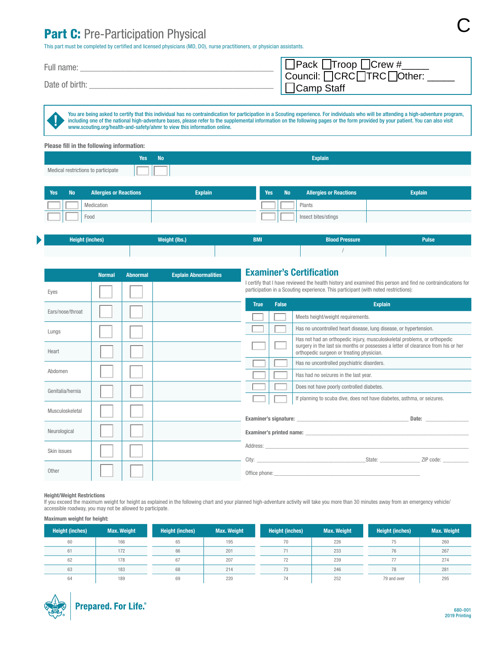## Part C: Pre-Participation Physical

This part must be completed by certified and licensed physicians (MD, DO), nurse practitioners, or physician assistants.

| Full name:     | $\Box$ Pack $\Box$ Troop $\Box$ Crew # |
|----------------|----------------------------------------|
|                | Council: OCRCOTRCOther:                |
| Date of birth: | $\Box$ Camp Staff                      |

You are being asked to certify that this individual has no contraindication for participation in a Scouting experience. For individuals who will be attending a high-adventure program, including one of the national high-adventure bases, please refer to the supplemental information on the following pages or the form provided by your patient. You can also visit www.scouting.org/health-and-safety/ahmr to view this information online.

| Please fill in the following information: |        |                |  |  |  |  |
|-------------------------------------------|--------|----------------|--|--|--|--|
|                                           | Yes No | <b>Explain</b> |  |  |  |  |
| Medical restrictions to participate       |        |                |  |  |  |  |

| Yes | <b>No</b> | <b>Allergies or Reactions</b> | <b>Explain</b> | Yes | <b>No</b> | <b>Allergies or Reactions</b> | <b>Explain</b> |
|-----|-----------|-------------------------------|----------------|-----|-----------|-------------------------------|----------------|
|     |           | <b>Medication</b>             |                |     |           | Plants                        |                |
|     |           | Food                          |                |     |           | Insect bites/stings           |                |

| <b>Height (inches)</b> | <b>Weight (lbs.)</b> | <b>BMI</b> | <b>Blood Pressure</b> | <b>Pulse</b> |
|------------------------|----------------------|------------|-----------------------|--------------|
|                        |                      |            |                       |              |

|                  | <b>Normal</b> | <b>Abnormal</b> | <b>Explain Abnormalities</b> | <b>Examiner's Certification</b>                                                                                                                                                                     |              |                                                                                                                                                                                                                                                             |  |
|------------------|---------------|-----------------|------------------------------|-----------------------------------------------------------------------------------------------------------------------------------------------------------------------------------------------------|--------------|-------------------------------------------------------------------------------------------------------------------------------------------------------------------------------------------------------------------------------------------------------------|--|
| Eyes             |               |                 |                              | l certify that I have reviewed the health history and examined this person and find no contraindications for<br>participation in a Scouting experience. This participant (with noted restrictions): |              |                                                                                                                                                                                                                                                             |  |
|                  |               |                 |                              | <b>True</b>                                                                                                                                                                                         | <b>False</b> | <b>Explain</b>                                                                                                                                                                                                                                              |  |
| Ears/nose/throat |               |                 |                              |                                                                                                                                                                                                     |              | Meets height/weight requirements.                                                                                                                                                                                                                           |  |
| Lungs            |               |                 |                              |                                                                                                                                                                                                     |              | Has no uncontrolled heart disease, lung disease, or hypertension.                                                                                                                                                                                           |  |
| Heart            |               |                 |                              |                                                                                                                                                                                                     |              | Has not had an orthopedic injury, musculoskeletal problems, or orthopedic<br>surgery in the last six months or possesses a letter of clearance from his or her<br>orthopedic surgeon or treating physician.                                                 |  |
|                  |               |                 |                              |                                                                                                                                                                                                     |              | Has no uncontrolled psychiatric disorders.                                                                                                                                                                                                                  |  |
| Abdomen          |               |                 |                              |                                                                                                                                                                                                     |              | Has had no seizures in the last year.                                                                                                                                                                                                                       |  |
| Genitalia/hernia |               |                 |                              |                                                                                                                                                                                                     |              | Does not have poorly controlled diabetes.                                                                                                                                                                                                                   |  |
|                  |               |                 |                              |                                                                                                                                                                                                     |              | If planning to scuba dive, does not have diabetes, asthma, or seizures.                                                                                                                                                                                     |  |
| Musculoskeletal  |               |                 |                              |                                                                                                                                                                                                     |              |                                                                                                                                                                                                                                                             |  |
| Neurological     |               |                 |                              |                                                                                                                                                                                                     |              |                                                                                                                                                                                                                                                             |  |
| Skin issues      |               |                 |                              |                                                                                                                                                                                                     |              |                                                                                                                                                                                                                                                             |  |
|                  |               |                 |                              |                                                                                                                                                                                                     |              | City: City: City: City: City: City: City: City: City: City: City: City: City: City: City: City: City: City: City: City: City: City: City: City: City: City: City: City: City: City: City: City: City: City: City: City: City:<br>State: State:<br>ZIP code: |  |
| Other            |               |                 |                              |                                                                                                                                                                                                     |              |                                                                                                                                                                                                                                                             |  |

#### Height/Weight Restrictions

b

If you exceed the maximum weight for height as explained in the following chart and your planned high-adventure activity will take you more than 30 minutes away from an emergency vehicle/ accessible roadway, you may not be allowed to participate.

#### Maximum weight for height:

| <b>Height (inches)</b> | <b>Max. Weight</b> | <b>Height (inches)</b> | <b>Max. Weight</b> | <b>Height (inches)</b> | <b>Max. Weight</b> | <b>Height (inches)</b> | <b>Max. Weight</b> |
|------------------------|--------------------|------------------------|--------------------|------------------------|--------------------|------------------------|--------------------|
| 60                     | 166                | 65                     | 195                | 70                     | 226                | 75.                    | 260                |
| 61                     | 172                | 66                     | 201                | 71                     | 233                | 76                     | 267                |
| 62                     | 178                | 67                     | 207                | 72                     | 239                |                        | 274                |
| 63                     | 183                | 68                     | 214                | 73                     | 246                | 78                     | 281                |
| 64                     | 189                | 69                     | 220                | 74                     | 252                | 79 and over            | 295                |



C